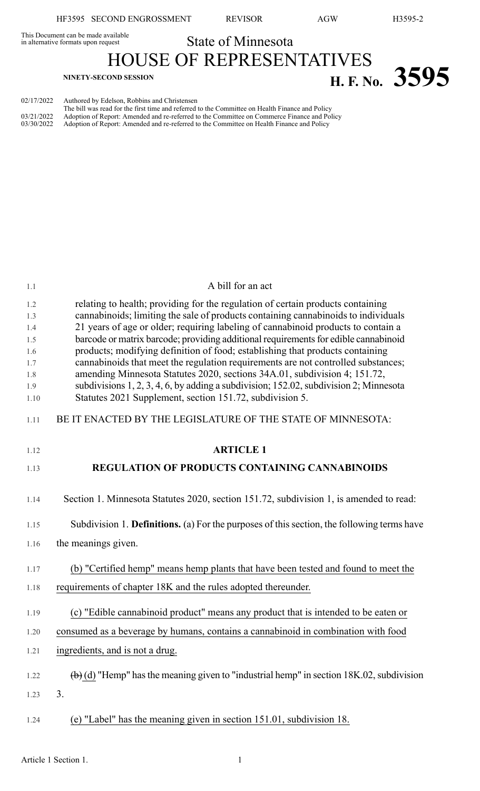This Document can be made available<br>in alternative formats upon request

State of Minnesota HOUSE OF REPRESENTATIVES

**H. F. No. 3595** 

|            | The bill was read for the first time and referred to the Committee on Health Finance and Policy      |
|------------|------------------------------------------------------------------------------------------------------|
| 03/21/2022 | Adoption of Report: Amended and re-referred to the Committee on Commerce Finance and Policy          |
|            | 03/30/2022 Adoption of Report: Amended and re-referred to the Committee on Health Finance and Policy |

| 1.1         | A bill for an act                                                                                                                                                     |
|-------------|-----------------------------------------------------------------------------------------------------------------------------------------------------------------------|
| 1.2<br>1.3  | relating to health; providing for the regulation of certain products containing<br>cannabinoids; limiting the sale of products containing cannabinoids to individuals |
| 1.4         | 21 years of age or older; requiring labeling of cannabinoid products to contain a                                                                                     |
| 1.5<br>1.6  | barcode or matrix barcode; providing additional requirements for edible cannabinoid<br>products; modifying definition of food; establishing that products containing  |
| 1.7         | cannabinoids that meet the regulation requirements are not controlled substances;                                                                                     |
| 1.8         | amending Minnesota Statutes 2020, sections 34A.01, subdivision 4; 151.72,                                                                                             |
| 1.9<br>1.10 | subdivisions 1, 2, 3, 4, 6, by adding a subdivision; 152.02, subdivision 2; Minnesota<br>Statutes 2021 Supplement, section 151.72, subdivision 5.                     |
| 1.11        | BE IT ENACTED BY THE LEGISLATURE OF THE STATE OF MINNESOTA:                                                                                                           |
| 1.12        | <b>ARTICLE 1</b>                                                                                                                                                      |
| 1.13        | REGULATION OF PRODUCTS CONTAINING CANNABINOIDS                                                                                                                        |
| 1.14        | Section 1. Minnesota Statutes 2020, section 151.72, subdivision 1, is amended to read:                                                                                |
| 1.15        | Subdivision 1. Definitions. (a) For the purposes of this section, the following terms have                                                                            |
| 1.16        | the meanings given.                                                                                                                                                   |
| 1.17        | (b) "Certified hemp" means hemp plants that have been tested and found to meet the                                                                                    |
| 1.18        | requirements of chapter 18K and the rules adopted thereunder.                                                                                                         |
| 1.19        | (c) "Edible cannabinoid product" means any product that is intended to be eaten or                                                                                    |
| 1.20        | consumed as a beverage by humans, contains a cannabinoid in combination with food                                                                                     |
| 1.21        | ingredients, and is not a drug.                                                                                                                                       |
| 1.22        | $\overline{a}$ (d) "Hemp" has the meaning given to "industrial hemp" in section 18K.02, subdivision                                                                   |
| 1.23        | 3.                                                                                                                                                                    |
| 1.24        | (e) "Label" has the meaning given in section 151.01, subdivision 18.                                                                                                  |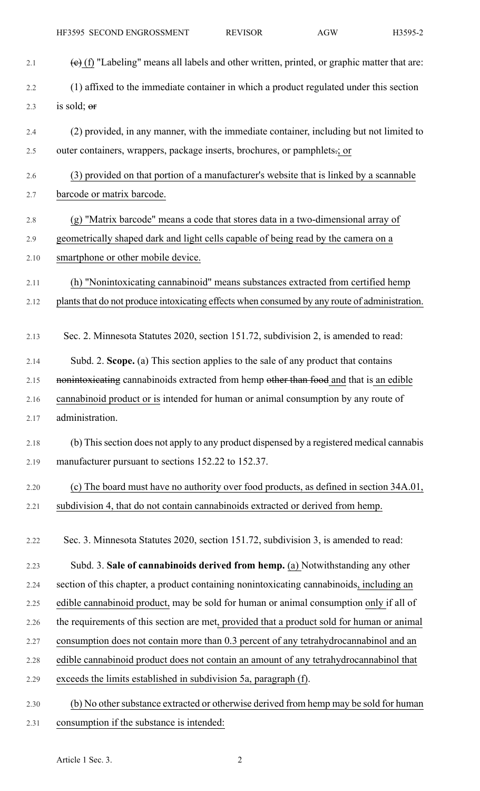- 2.1 (e) (f) "Labeling" means all labels and other written, printed, or graphic matter that are: 2.2 (1) affixed to the immediate container in which a product regulated under this section 2.3 is sold;  $er$ 2.4 (2) provided, in any manner, with the immediate container, including but not limited to 2.5 outer containers, wrappers, package inserts, brochures, or pamphlets.; or 2.6 (3) provided on that portion of a manufacturer's website that is linked by a scannable 2.7 barcode or matrix barcode. 2.8 (g) "Matrix barcode" means a code that stores data in a two-dimensional array of 2.9 geometrically shaped dark and light cells capable of being read by the camera on a 2.10 smartphone or other mobile device. 2.11 (h) "Nonintoxicating cannabinoid" means substances extracted from certified hemp 2.12 plants that do not produce intoxicating effects when consumed by any route of administration. 2.13 Sec. 2. Minnesota Statutes 2020, section 151.72, subdivision 2, is amended to read: 2.14 Subd. 2. **Scope.** (a) This section applies to the sale of any product that contains 2.15 nonintoxicating cannabinoids extracted from hemp other than food and that is an edible 2.16 cannabinoid product or is intended for human or animal consumption by any route of 2.17 administration. 2.18 (b) Thissection does not apply to any product dispensed by a registered medical cannabis 2.19 manufacturer pursuant to sections 152.22 to 152.37. 2.20 (c) The board must have no authority over food products, as defined in section 34A.01, 2.21 subdivision 4, that do not contain cannabinoids extracted or derived from hemp. 2.22 Sec. 3. Minnesota Statutes 2020, section 151.72, subdivision 3, is amended to read: 2.23 Subd. 3. **Sale of cannabinoids derived from hemp.** (a) Notwithstanding any other 2.24 section of this chapter, a product containing nonintoxicating cannabinoids, including an 2.25 edible cannabinoid product, may be sold for human or animal consumption only if all of 2.26 the requirements of this section are met, provided that a product sold for human or animal 2.27 consumption does not contain more than 0.3 percent of any tetrahydrocannabinol and an 2.28 edible cannabinoid product does not contain an amount of any tetrahydrocannabinol that 2.29 exceeds the limits established in subdivision 5a, paragraph (f). 2.30 (b) No other substance extracted or otherwise derived from hemp may be sold for human
- 2.31 consumption if the substance is intended: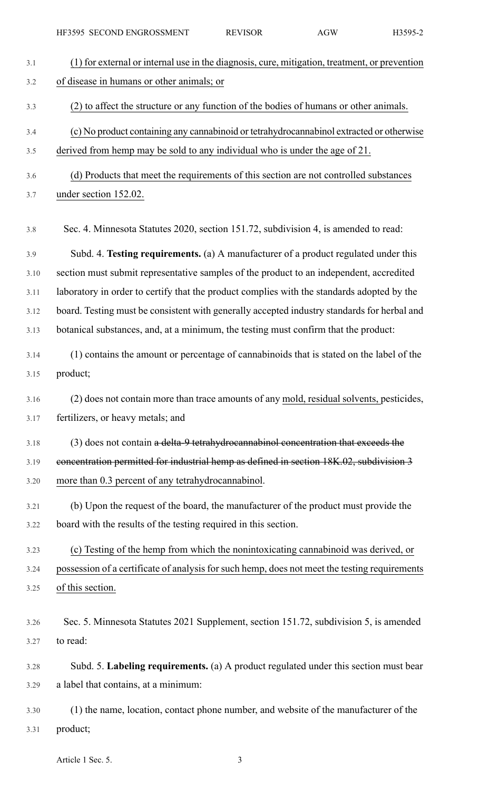| 3.1  | (1) for external or internal use in the diagnosis, cure, mitigation, treatment, or prevention |
|------|-----------------------------------------------------------------------------------------------|
| 3.2  | of disease in humans or other animals; or                                                     |
| 3.3  | (2) to affect the structure or any function of the bodies of humans or other animals.         |
| 3.4  | (c) No product containing any cannabinoid or tetrahydrocannabinol extracted or otherwise      |
| 3.5  | derived from hemp may be sold to any individual who is under the age of 21.                   |
| 3.6  | (d) Products that meet the requirements of this section are not controlled substances         |
| 3.7  | under section 152.02.                                                                         |
| 3.8  | Sec. 4. Minnesota Statutes 2020, section 151.72, subdivision 4, is amended to read:           |
| 3.9  | Subd. 4. Testing requirements. (a) A manufacturer of a product regulated under this           |
| 3.10 | section must submit representative samples of the product to an independent, accredited       |
| 3.11 | laboratory in order to certify that the product complies with the standards adopted by the    |
| 3.12 | board. Testing must be consistent with generally accepted industry standards for herbal and   |
| 3.13 | botanical substances, and, at a minimum, the testing must confirm that the product:           |
| 3.14 | (1) contains the amount or percentage of cannabinoids that is stated on the label of the      |
| 3.15 | product;                                                                                      |
| 3.16 | (2) does not contain more than trace amounts of any mold, residual solvents, pesticides,      |
| 3.17 | fertilizers, or heavy metals; and                                                             |
| 3.18 | (3) does not contain a delta-9 tetrahydrocannabinol concentration that exceeds the            |
| 3.19 | concentration permitted for industrial hemp as defined in section 18K.02, subdivision 3       |
| 3.20 | more than 0.3 percent of any tetrahydrocannabinol.                                            |
| 3.21 | (b) Upon the request of the board, the manufacturer of the product must provide the           |
| 3.22 | board with the results of the testing required in this section.                               |
| 3.23 | (c) Testing of the hemp from which the nonintoxicating cannabinoid was derived, or            |
| 3.24 | possession of a certificate of analysis for such hemp, does not meet the testing requirements |
| 3.25 | of this section.                                                                              |
|      |                                                                                               |
| 3.26 | Sec. 5. Minnesota Statutes 2021 Supplement, section 151.72, subdivision 5, is amended         |
| 3.27 | to read:                                                                                      |
| 3.28 | Subd. 5. Labeling requirements. (a) A product regulated under this section must bear          |
| 3.29 | a label that contains, at a minimum:                                                          |
| 3.30 | (1) the name, location, contact phone number, and website of the manufacturer of the          |
| 3.31 | product;                                                                                      |

Article 1 Sec. 5. 3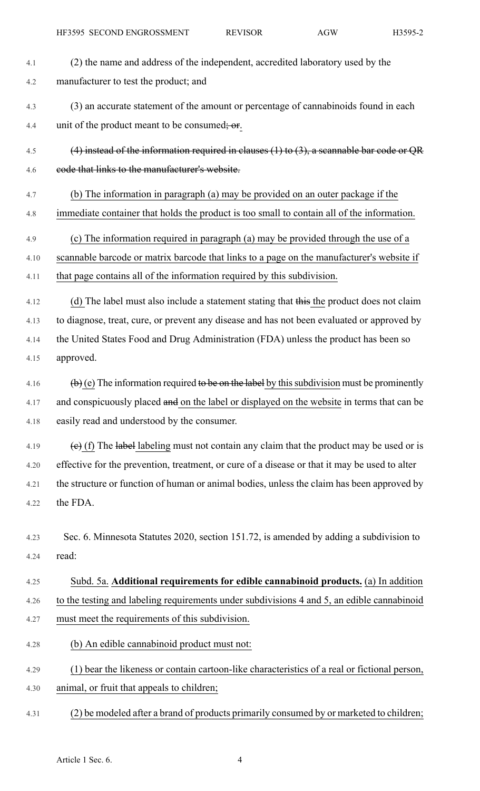| 4.1  | (2) the name and address of the independent, accredited laboratory used by the                                     |
|------|--------------------------------------------------------------------------------------------------------------------|
| 4.2  | manufacturer to test the product; and                                                                              |
| 4.3  | (3) an accurate statement of the amount or percentage of cannabinoids found in each                                |
| 4.4  | unit of the product meant to be consumed; or.                                                                      |
| 4.5  | $(4)$ instead of the information required in clauses (1) to (3), a scannable bar code or QR                        |
| 4.6  | code that links to the manufacturer's website.                                                                     |
| 4.7  | (b) The information in paragraph (a) may be provided on an outer package if the                                    |
| 4.8  | immediate container that holds the product is too small to contain all of the information.                         |
| 4.9  | (c) The information required in paragraph (a) may be provided through the use of a                                 |
| 4.10 | scannable barcode or matrix barcode that links to a page on the manufacturer's website if                          |
| 4.11 | that page contains all of the information required by this subdivision.                                            |
| 4.12 | (d) The label must also include a statement stating that this the product does not claim                           |
| 4.13 | to diagnose, treat, cure, or prevent any disease and has not been evaluated or approved by                         |
| 4.14 | the United States Food and Drug Administration (FDA) unless the product has been so                                |
| 4.15 | approved.                                                                                                          |
| 4.16 | $\left(\frac{b}{c}\right)$ (e) The information required to be on the label by this subdivision must be prominently |
| 4.17 | and conspicuously placed and on the label or displayed on the website in terms that can be                         |
| 4.18 | easily read and understood by the consumer.                                                                        |
| 4.19 | $\overline{e}$ (f) The label labeling must not contain any claim that the product may be used or is                |
| 4.20 | effective for the prevention, treatment, or cure of a disease or that it may be used to alter                      |
| 4.21 | the structure or function of human or animal bodies, unless the claim has been approved by                         |
| 4.22 | the FDA.                                                                                                           |
| 4.23 | Sec. 6. Minnesota Statutes 2020, section 151.72, is amended by adding a subdivision to                             |
| 4.24 | read:                                                                                                              |
| 4.25 | Subd. 5a. Additional requirements for edible cannabinoid products. (a) In addition                                 |
| 4.26 | to the testing and labeling requirements under subdivisions 4 and 5, an edible cannabinoid                         |
| 4.27 | must meet the requirements of this subdivision.                                                                    |
| 4.28 | (b) An edible cannabinoid product must not:                                                                        |
| 4.29 | (1) bear the likeness or contain cartoon-like characteristics of a real or fictional person,                       |
| 4.30 | animal, or fruit that appeals to children;                                                                         |
| 4.31 | (2) be modeled after a brand of products primarily consumed by or marketed to children;                            |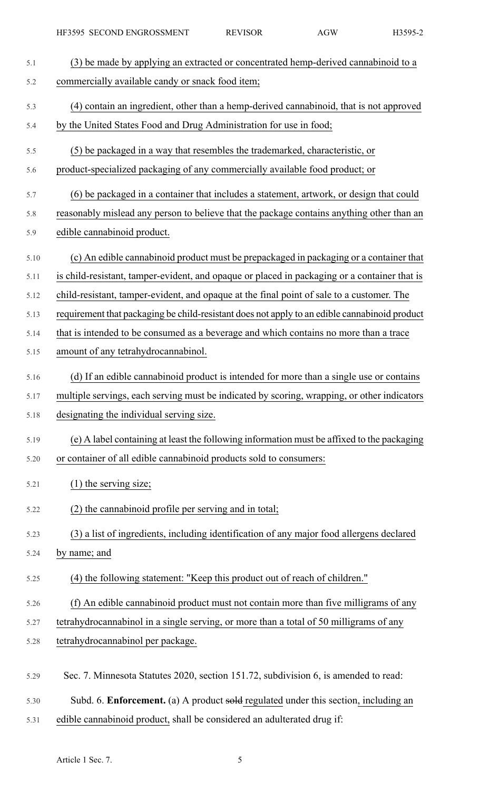| 5.1  | (3) be made by applying an extracted or concentrated hemp-derived cannabinoid to a            |
|------|-----------------------------------------------------------------------------------------------|
| 5.2  | commercially available candy or snack food item;                                              |
| 5.3  | (4) contain an ingredient, other than a hemp-derived cannabinoid, that is not approved        |
| 5.4  | by the United States Food and Drug Administration for use in food;                            |
| 5.5  | (5) be packaged in a way that resembles the trademarked, characteristic, or                   |
| 5.6  | product-specialized packaging of any commercially available food product; or                  |
| 5.7  | (6) be packaged in a container that includes a statement, artwork, or design that could       |
| 5.8  | reasonably mislead any person to believe that the package contains anything other than an     |
| 5.9  | edible cannabinoid product.                                                                   |
| 5.10 | (c) An edible cannabinoid product must be prepackaged in packaging or a container that        |
| 5.11 | is child-resistant, tamper-evident, and opaque or placed in packaging or a container that is  |
| 5.12 | child-resistant, tamper-evident, and opaque at the final point of sale to a customer. The     |
| 5.13 | requirement that packaging be child-resistant does not apply to an edible cannabinoid product |
| 5.14 | that is intended to be consumed as a beverage and which contains no more than a trace         |
| 5.15 | amount of any tetrahydrocannabinol.                                                           |
| 5.16 | (d) If an edible cannabinoid product is intended for more than a single use or contains       |
| 5.17 | multiple servings, each serving must be indicated by scoring, wrapping, or other indicators   |
| 5.18 | designating the individual serving size.                                                      |
| 5.19 | (e) A label containing at least the following information must be affixed to the packaging    |
| 5.20 | or container of all edible cannabinoid products sold to consumers:                            |
| 5.21 | $(1)$ the serving size;                                                                       |
| 5.22 | (2) the cannabinoid profile per serving and in total;                                         |
| 5.23 | (3) a list of ingredients, including identification of any major food allergens declared      |
| 5.24 | by name; and                                                                                  |
| 5.25 | (4) the following statement: "Keep this product out of reach of children."                    |
| 5.26 | (f) An edible cannabinoid product must not contain more than five milligrams of any           |
| 5.27 | tetrahydrocannabinol in a single serving, or more than a total of 50 milligrams of any        |
| 5.28 | tetrahydrocannabinol per package.                                                             |
| 5.29 | Sec. 7. Minnesota Statutes 2020, section 151.72, subdivision 6, is amended to read:           |
| 5.30 | Subd. 6. Enforcement. (a) A product sold regulated under this section, including an           |

5.31 edible cannabinoid product, shall be considered an adulterated drug if: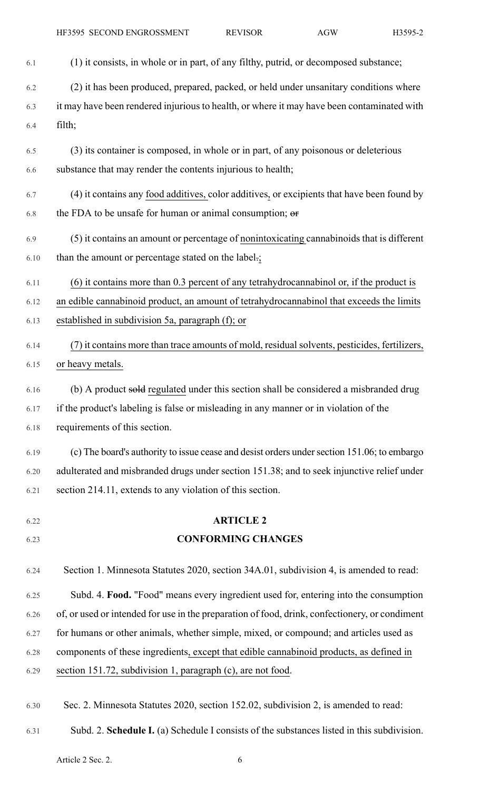HF3595 SECOND ENGROSSMENT REVISOR AGW H3595-2

| 6.1  | (1) it consists, in whole or in part, of any filthy, putrid, or decomposed substance;          |
|------|------------------------------------------------------------------------------------------------|
| 6.2  | (2) it has been produced, prepared, packed, or held under unsanitary conditions where          |
| 6.3  | it may have been rendered injurious to health, or where it may have been contaminated with     |
| 6.4  | filth;                                                                                         |
| 6.5  | (3) its container is composed, in whole or in part, of any poisonous or deleterious            |
| 6.6  | substance that may render the contents injurious to health;                                    |
| 6.7  | (4) it contains any food additives, color additives, or excipients that have been found by     |
| 6.8  | the FDA to be unsafe for human or animal consumption; or                                       |
| 6.9  | (5) it contains an amount or percentage of nonintoxicating cannabinoids that is different      |
| 6.10 | than the amount or percentage stated on the label.;                                            |
| 6.11 | (6) it contains more than 0.3 percent of any tetrahydrocannabinol or, if the product is        |
| 6.12 | an edible cannabinoid product, an amount of tetrahydrocannabinol that exceeds the limits       |
| 6.13 | established in subdivision 5a, paragraph (f); or                                               |
| 6.14 | (7) it contains more than trace amounts of mold, residual solvents, pesticides, fertilizers,   |
| 6.15 | or heavy metals.                                                                               |
| 6.16 | (b) A product sold regulated under this section shall be considered a misbranded drug          |
| 6.17 | if the product's labeling is false or misleading in any manner or in violation of the          |
| 6.18 | requirements of this section.                                                                  |
| 6.19 | (c) The board's authority to issue cease and desist orders under section 151.06; to embargo    |
| 6.20 | adulterated and misbranded drugs under section 151.38; and to seek injunctive relief under     |
| 6.21 | section 214.11, extends to any violation of this section.                                      |
| 6.22 | <b>ARTICLE 2</b>                                                                               |
| 6.23 | <b>CONFORMING CHANGES</b>                                                                      |
| 6.24 | Section 1. Minnesota Statutes 2020, section 34A.01, subdivision 4, is amended to read:         |
| 6.25 | Subd. 4. Food. "Food" means every ingredient used for, entering into the consumption           |
| 6.26 | of, or used or intended for use in the preparation of food, drink, confectionery, or condiment |
| 6.27 | for humans or other animals, whether simple, mixed, or compound; and articles used as          |
| 6.28 | components of these ingredients, except that edible cannabinoid products, as defined in        |
| 6.29 | section 151.72, subdivision 1, paragraph (c), are not food.                                    |
| 6.30 | Sec. 2. Minnesota Statutes 2020, section 152.02, subdivision 2, is amended to read:            |

6.31 Subd. 2. **Schedule I.** (a) Schedule I consists of the substances listed in this subdivision.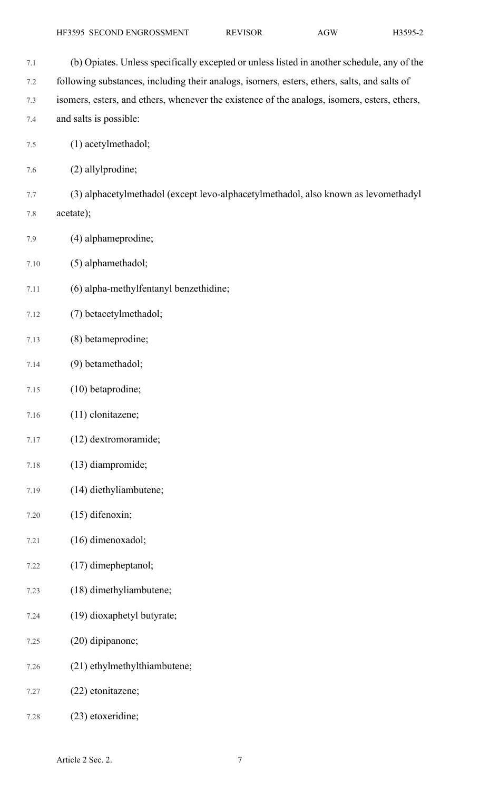7.1 (b) Opiates. Unless specifically excepted or unless listed in another schedule, any of the 7.2 following substances, including their analogs, isomers, esters, ethers, salts, and salts of 7.3 isomers, esters, and ethers, whenever the existence of the analogs, isomers, esters, ethers, 7.4 and salts is possible: 7.5 (1) acetylmethadol; 7.6 (2) allylprodine; 7.7 (3) alphacetylmethadol (except levo-alphacetylmethadol, also known as levomethadyl 7.8 acetate); 7.9 (4) alphameprodine; 7.10 (5) alphamethadol; 7.11 (6) alpha-methylfentanyl benzethidine; 7.12 (7) betacetylmethadol; 7.13 (8) betameprodine; 7.14 (9) betamethadol; 7.15 (10) betaprodine; 7.16 (11) clonitazene; 7.17 (12) dextromoramide; 7.18 (13) diampromide; 7.19 (14) diethyliambutene; 7.20 (15) difenoxin; 7.21 (16) dimenoxadol; 7.22 (17) dimepheptanol; 7.23 (18) dimethyliambutene; 7.24 (19) dioxaphetyl butyrate; 7.25 (20) dipipanone; 7.26 (21) ethylmethylthiambutene; 7.27 (22) etonitazene; 7.28 (23) etoxeridine;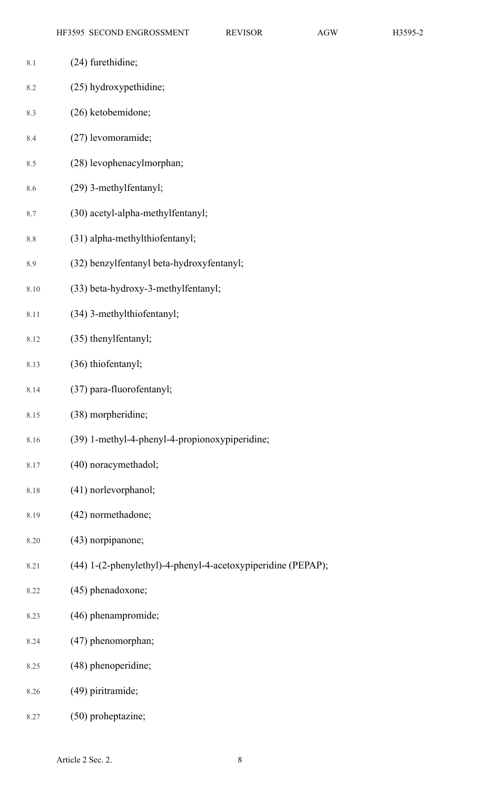| 8.1  | (24) furethidine;                                            |
|------|--------------------------------------------------------------|
| 8.2  | (25) hydroxypethidine;                                       |
| 8.3  | (26) ketobemidone;                                           |
| 8.4  | (27) levomoramide;                                           |
| 8.5  | (28) levophenacylmorphan;                                    |
| 8.6  | (29) 3-methylfentanyl;                                       |
| 8.7  | (30) acetyl-alpha-methylfentanyl;                            |
| 8.8  | (31) alpha-methylthiofentanyl;                               |
| 8.9  | (32) benzylfentanyl beta-hydroxyfentanyl;                    |
| 8.10 | (33) beta-hydroxy-3-methylfentanyl;                          |
| 8.11 | (34) 3-methylthiofentanyl;                                   |
| 8.12 | (35) thenylfentanyl;                                         |
| 8.13 | (36) thiofentanyl;                                           |
| 8.14 | (37) para-fluorofentanyl;                                    |
| 8.15 | (38) morpheridine;                                           |
| 8.16 | (39) 1-methyl-4-phenyl-4-propionoxypiperidine;               |
| 8.17 | (40) noracymethadol;                                         |
| 8.18 | (41) norlevorphanol;                                         |
| 8.19 | (42) normethadone;                                           |
| 8.20 | (43) norpipanone;                                            |
| 8.21 | (44) 1-(2-phenylethyl)-4-phenyl-4-acetoxypiperidine (PEPAP); |
| 8.22 | (45) phenadoxone;                                            |
| 8.23 | (46) phenampromide;                                          |
| 8.24 | (47) phenomorphan;                                           |
| 8.25 | (48) phenoperidine;                                          |
| 8.26 | (49) piritramide;                                            |
| 8.27 | (50) proheptazine;                                           |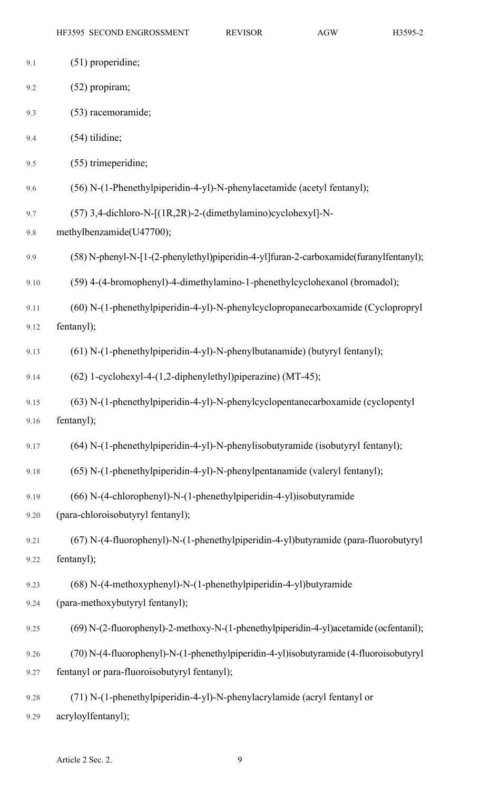| 9.1  | $(51)$ properidine;                                                                    |
|------|----------------------------------------------------------------------------------------|
| 9.2  | (52) propiram;                                                                         |
| 9.3  | (53) racemoramide;                                                                     |
| 9.4  | $(54)$ tilidine;                                                                       |
| 9.5  | (55) trimeperidine;                                                                    |
| 9.6  | (56) N-(1-Phenethylpiperidin-4-yl)-N-phenylacetamide (acetyl fentanyl);                |
| 9.7  | (57) 3,4-dichloro-N-[(1R,2R)-2-(dimethylamino)cyclohexyl]-N-                           |
| 9.8  | methylbenzamide(U47700);                                                               |
| 9.9  | (58) N-phenyl-N-[1-(2-phenylethyl)piperidin-4-yl]furan-2-carboxamide(furanylfentanyl); |
| 9.10 | (59) 4-(4-bromophenyl)-4-dimethylamino-1-phenethylcyclohexanol (bromadol);             |
| 9.11 | (60) N-(1-phenethylpiperidin-4-yl)-N-phenylcyclopropanecarboxamide (Cyclopropryl       |
| 9.12 | fentanyl);                                                                             |
| 9.13 | (61) N-(1-phenethylpiperidin-4-yl)-N-phenylbutanamide) (butyryl fentanyl);             |
| 9.14 | (62) 1-cyclohexyl-4-(1,2-diphenylethyl)piperazine) (MT-45);                            |
| 9.15 | (63) N-(1-phenethylpiperidin-4-yl)-N-phenylcyclopentanecarboxamide (cyclopentyl        |
| 9.16 | fentanyl);                                                                             |
| 9.17 | (64) N-(1-phenethylpiperidin-4-yl)-N-phenylisobutyramide (isobutyryl fentanyl);        |
| 9.18 | (65) N-(1-phenethylpiperidin-4-yl)-N-phenylpentanamide (valeryl fentanyl);             |
| 9.19 | (66) N-(4-chlorophenyl)-N-(1-phenethylpiperidin-4-yl)isobutyramide                     |
| 9.20 | (para-chloroisobutyryl fentanyl);                                                      |
| 9.21 | (67) N-(4-fluorophenyl)-N-(1-phenethylpiperidin-4-yl)butyramide (para-fluorobutyryl    |
| 9.22 | fentanyl);                                                                             |
| 9.23 | (68) N-(4-methoxyphenyl)-N-(1-phenethylpiperidin-4-yl)butyramide                       |
| 9.24 | (para-methoxybutyryl fentanyl);                                                        |
| 9.25 | (69) N-(2-fluorophenyl)-2-methoxy-N-(1-phenethylpiperidin-4-yl)acetamide (ocfentanil); |
| 9.26 | (70) N-(4-fluorophenyl)-N-(1-phenethylpiperidin-4-yl)isobutyramide (4-fluoroisobutyryl |
| 9.27 | fentanyl or para-fluoroisobutyryl fentanyl);                                           |
| 9.28 | (71) N-(1-phenethylpiperidin-4-yl)-N-phenylacrylamide (acryl fentanyl or               |
| 9.29 | acryloylfentanyl);                                                                     |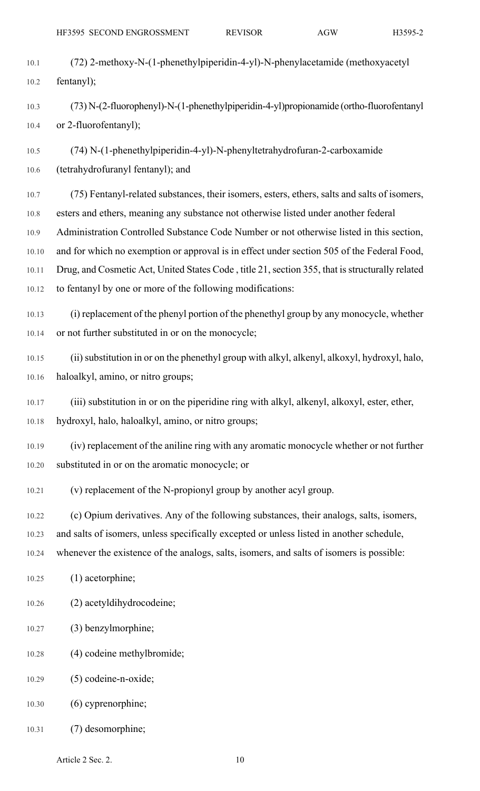- 
- 10.1 (72) 2-methoxy-N-(1-phenethylpiperidin-4-yl)-N-phenylacetamide (methoxyacetyl 10.2 fentanyl);
- 10.3 (73) N-(2-fluorophenyl)-N-(1-phenethylpiperidin-4-yl)propionamide (ortho-fluorofentanyl 10.4 or 2-fluorofentanyl);
- 10.5 (74) N-(1-phenethylpiperidin-4-yl)-N-phenyltetrahydrofuran-2-carboxamide 10.6 (tetrahydrofuranyl fentanyl); and
- 10.7 (75) Fentanyl-related substances, their isomers, esters, ethers, salts and salts of isomers, 10.8 esters and ethers, meaning any substance not otherwise listed under another federal 10.9 Administration Controlled Substance Code Number or not otherwise listed in this section, 10.10 and for which no exemption or approval is in effect under section 505 of the Federal Food, 10.11 Drug, and Cosmetic Act, United States Code, title 21, section 355, that is structurally related 10.12 to fentanyl by one or more of the following modifications:
- 10.13 (i) replacement of the phenyl portion of the phenethyl group by any monocycle, whether 10.14 or not further substituted in or on the monocycle;
- 10.15 (ii) substitution in or on the phenethyl group with alkyl, alkenyl, alkoxyl, hydroxyl, halo, 10.16 haloalkyl, amino, or nitro groups;
- 10.17 (iii) substitution in or on the piperidine ring with alkyl, alkenyl, alkoxyl, ester, ether, 10.18 hydroxyl, halo, haloalkyl, amino, or nitro groups;
- 
- 10.19 (iv) replacement of the aniline ring with any aromatic monocycle whether or not further 10.20 substituted in or on the aromatic monocycle; or
- 10.21 (v) replacement of the N-propionyl group by another acyl group.
- 10.22 (c) Opium derivatives. Any of the following substances, their analogs, salts, isomers, 10.23 and salts of isomers, unless specifically excepted or unless listed in another schedule,
- 10.24 whenever the existence of the analogs, salts, isomers, and salts of isomers is possible:
- 10.25 (1) acetorphine;
- 10.26 (2) acetyldihydrocodeine;
- 10.27 (3) benzylmorphine;
- 10.28 (4) codeine methylbromide;
- 10.29 (5) codeine-n-oxide;
- 10.30 (6) cyprenorphine;
- 10.31 (7) desomorphine;

Article 2 Sec. 2. 10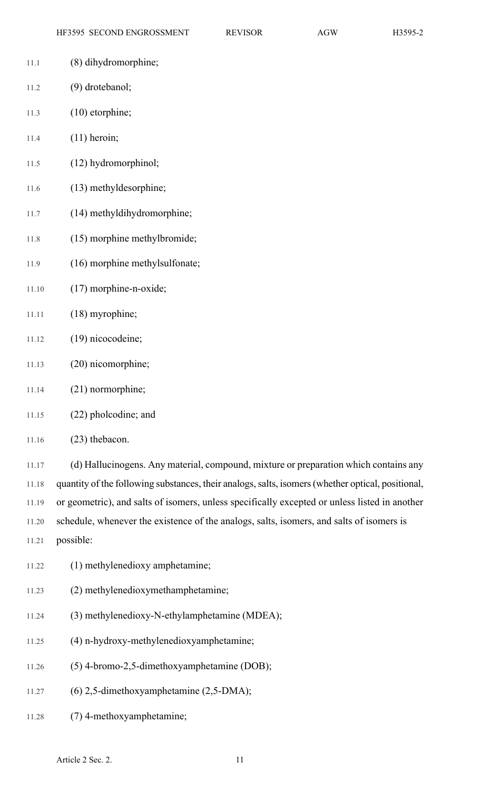- 11.1 (8) dihydromorphine;
- 11.2 (9) drotebanol;
- 11.3 (10) etorphine;
- 11.4 (11) heroin;
- 11.5 (12) hydromorphinol;
- 11.6 (13) methyldesorphine;
- 11.7 (14) methyldihydromorphine;
- 11.8 (15) morphine methylbromide;
- 11.9 (16) morphine methylsulfonate;
- 11.10 (17) morphine-n-oxide;
- 11.11 (18) myrophine;
- 11.12 (19) nicocodeine;
- 11.13 (20) nicomorphine;
- 11.14 (21) normorphine;
- 11.15 (22) pholcodine; and
- 11.16 (23) thebacon.

11.17 (d) Hallucinogens. Any material, compound, mixture or preparation which contains any 11.18 quantity of the following substances, their analogs,salts, isomers(whether optical, positional, 11.19 or geometric), and salts of isomers, unless specifically excepted or unless listed in another 11.20 schedule, whenever the existence of the analogs, salts, isomers, and salts of isomers is

- 11.21 possible:
- 11.22 (1) methylenedioxy amphetamine;
- 11.23 (2) methylenedioxymethamphetamine;
- 11.24 (3) methylenedioxy-N-ethylamphetamine (MDEA);
- 11.25 (4) n-hydroxy-methylenedioxyamphetamine;
- 11.26 (5) 4-bromo-2,5-dimethoxyamphetamine (DOB);
- 11.27 (6) 2,5-dimethoxyamphetamine (2,5-DMA);
- 11.28 (7) 4-methoxyamphetamine;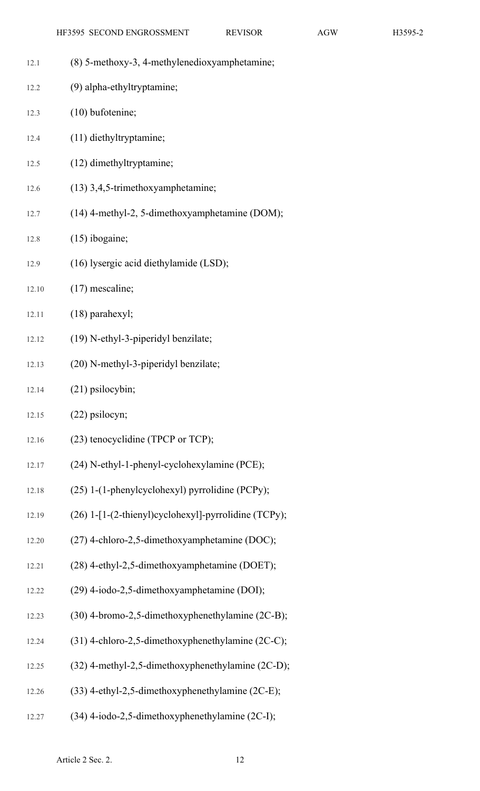| 12.1  | (8) 5-methoxy-3, 4-methylenedioxyamphetamine;        |
|-------|------------------------------------------------------|
| 12.2  | (9) alpha-ethyltryptamine;                           |
| 12.3  | $(10)$ bufotenine;                                   |
| 12.4  | (11) diethyltryptamine;                              |
| 12.5  | (12) dimethyltryptamine;                             |
| 12.6  | (13) 3,4,5-trimethoxyamphetamine;                    |
| 12.7  | (14) 4-methyl-2, 5-dimethoxyamphetamine (DOM);       |
| 12.8  | $(15)$ ibogaine;                                     |
| 12.9  | (16) lysergic acid diethylamide (LSD);               |
| 12.10 | $(17)$ mescaline;                                    |
| 12.11 | $(18)$ parahexyl;                                    |
| 12.12 | (19) N-ethyl-3-piperidyl benzilate;                  |
| 12.13 | (20) N-methyl-3-piperidyl benzilate;                 |
| 12.14 | $(21)$ psilocybin;                                   |
| 12.15 | $(22)$ psilocyn;                                     |
| 12.16 | (23) tenocyclidine (TPCP or TCP);                    |
| 12.17 | (24) N-ethyl-1-phenyl-cyclohexylamine (PCE);         |
| 12.18 | (25) 1-(1-phenylcyclohexyl) pyrrolidine (PCPy);      |
| 12.19 | (26) 1-[1-(2-thienyl)cyclohexyl]-pyrrolidine (TCPy); |
| 12.20 | (27) 4-chloro-2,5-dimethoxyamphetamine (DOC);        |
| 12.21 | (28) 4-ethyl-2,5-dimethoxyamphetamine (DOET);        |
| 12.22 | (29) 4-iodo-2,5-dimethoxyamphetamine (DOI);          |
| 12.23 | (30) 4-bromo-2,5-dimethoxyphenethylamine (2C-B);     |
| 12.24 | (31) 4-chloro-2,5-dimethoxyphenethylamine (2C-C);    |
| 12.25 | (32) 4-methyl-2,5-dimethoxyphenethylamine (2C-D);    |
| 12.26 | (33) 4-ethyl-2,5-dimethoxyphenethylamine (2C-E);     |
| 12.27 | (34) 4-iodo-2,5-dimethoxyphenethylamine (2C-I);      |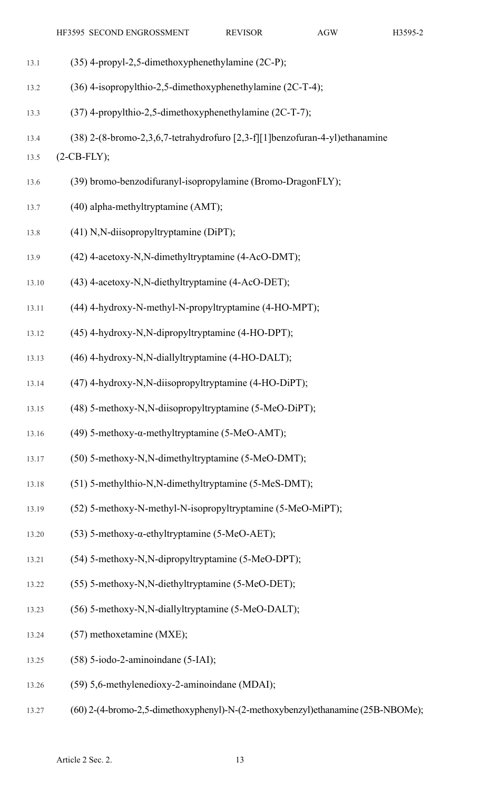| 13.1  | (35) 4-propyl-2,5-dimethoxyphenethylamine (2C-P);                           |
|-------|-----------------------------------------------------------------------------|
| 13.2  | (36) 4-isopropylthio-2,5-dimethoxyphenethylamine (2C-T-4);                  |
| 13.3  | (37) 4-propylthio-2,5-dimethoxyphenethylamine (2C-T-7);                     |
| 13.4  | (38) 2-(8-bromo-2,3,6,7-tetrahydrofuro [2,3-f][1]benzofuran-4-yl)ethanamine |
| 13.5  | $(2-CB-FLY);$                                                               |
| 13.6  | (39) bromo-benzodifuranyl-isopropylamine (Bromo-DragonFLY);                 |
| 13.7  | (40) alpha-methyltryptamine (AMT);                                          |
| 13.8  | (41) N,N-diisopropyltryptamine (DiPT);                                      |
| 13.9  | (42) 4-acetoxy-N,N-dimethyltryptamine (4-AcO-DMT);                          |
| 13.10 | (43) 4-acetoxy-N,N-diethyltryptamine (4-AcO-DET);                           |
| 13.11 | (44) 4-hydroxy-N-methyl-N-propyltryptamine (4-HO-MPT);                      |
| 13.12 | (45) 4-hydroxy-N,N-dipropyltryptamine (4-HO-DPT);                           |
| 13.13 | (46) 4-hydroxy-N,N-diallyltryptamine (4-HO-DALT);                           |
| 13.14 | (47) 4-hydroxy-N,N-diisopropyltryptamine (4-HO-DiPT);                       |
| 13.15 | (48) 5-methoxy-N,N-diisopropyltryptamine (5-MeO-DiPT);                      |
| 13.16 | (49) 5-methoxy- $\alpha$ -methyltryptamine (5-MeO-AMT);                     |
| 13.17 | (50) 5-methoxy-N,N-dimethyltryptamine (5-MeO-DMT);                          |
| 13.18 | (51) 5-methylthio-N,N-dimethyltryptamine (5-MeS-DMT);                       |
| 13.19 | (52) 5-methoxy-N-methyl-N-isopropyltryptamine (5-MeO-MiPT);                 |
| 13.20 | (53) 5-methoxy- $\alpha$ -ethyltryptamine (5-MeO-AET);                      |
| 13.21 | (54) 5-methoxy-N,N-dipropyltryptamine (5-MeO-DPT);                          |
| 13.22 | (55) 5-methoxy-N,N-diethyltryptamine (5-MeO-DET);                           |
| 13.23 | (56) 5-methoxy-N,N-diallyltryptamine (5-MeO-DALT);                          |
| 13.24 | (57) methoxetamine (MXE);                                                   |
| 13.25 | $(58)$ 5-iodo-2-aminoindane $(5-IAI)$ ;                                     |
| 13.26 | (59) 5,6-methylenedioxy-2-aminoindane (MDAI);                               |
|       |                                                                             |

13.27 (60) 2-(4-bromo-2,5-dimethoxyphenyl)-N-(2-methoxybenzyl)ethanamine (25B-NBOMe);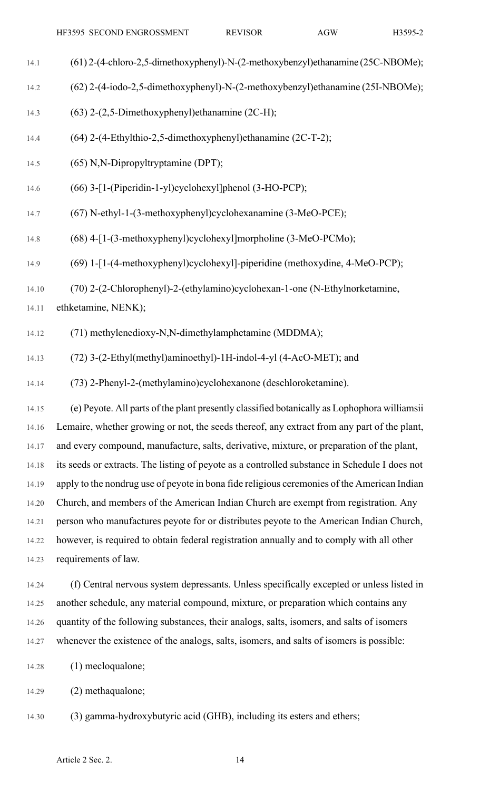- 14.1 (61) 2-(4-chloro-2,5-dimethoxyphenyl)-N-(2-methoxybenzyl)ethanamine (25C-NBOMe);
- 14.2 (62) 2-(4-iodo-2,5-dimethoxyphenyl)-N-(2-methoxybenzyl)ethanamine (25I-NBOMe);
- 14.3 (63) 2-(2,5-Dimethoxyphenyl)ethanamine (2C-H);
- 14.4 (64) 2-(4-Ethylthio-2,5-dimethoxyphenyl)ethanamine (2C-T-2);
- 14.5 (65) N,N-Dipropyltryptamine (DPT);
- 14.6 (66) 3-[1-(Piperidin-1-yl)cyclohexyl]phenol (3-HO-PCP);
- 14.7 (67) N-ethyl-1-(3-methoxyphenyl)cyclohexanamine (3-MeO-PCE);
- 14.8 (68) 4-[1-(3-methoxyphenyl)cyclohexyl]morpholine (3-MeO-PCMo);
- 14.9 (69) 1-[1-(4-methoxyphenyl)cyclohexyl]-piperidine (methoxydine, 4-MeO-PCP);
- 14.10 (70) 2-(2-Chlorophenyl)-2-(ethylamino)cyclohexan-1-one (N-Ethylnorketamine,

14.11 ethketamine, NENK);

- 14.12 (71) methylenedioxy-N,N-dimethylamphetamine (MDDMA);
- 14.13 (72) 3-(2-Ethyl(methyl)aminoethyl)-1H-indol-4-yl (4-AcO-MET); and
- 14.14 (73) 2-Phenyl-2-(methylamino)cyclohexanone (deschloroketamine).

14.15 (e) Peyote. All parts of the plant presently classified botanically as Lophophora williamsii 14.16 Lemaire, whether growing or not, the seeds thereof, any extract from any part of the plant, 14.17 and every compound, manufacture, salts, derivative, mixture, or preparation of the plant, 14.18 its seeds or extracts. The listing of peyote as a controlled substance in Schedule I does not 14.19 apply to the nondrug use of peyote in bona fide religious ceremonies of the American Indian 14.20 Church, and members of the American Indian Church are exempt from registration. Any 14.21 person who manufactures peyote for or distributes peyote to the American Indian Church, 14.22 however, is required to obtain federal registration annually and to comply with all other 14.23 requirements of law.

- 14.24 (f) Central nervous system depressants. Unless specifically excepted or unless listed in 14.25 another schedule, any material compound, mixture, or preparation which contains any 14.26 quantity of the following substances, their analogs, salts, isomers, and salts of isomers 14.27 whenever the existence of the analogs, salts, isomers, and salts of isomers is possible:
- 14.28 (1) mecloqualone;
- 14.29 (2) methaqualone;
- 14.30 (3) gamma-hydroxybutyric acid (GHB), including its esters and ethers;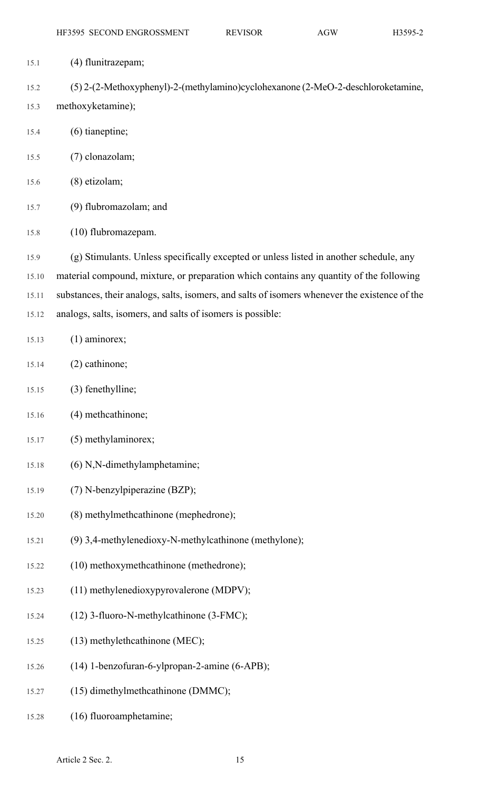| 15.1  | (4) flunitrazepam;                                                                            |
|-------|-----------------------------------------------------------------------------------------------|
| 15.2  | (5) 2-(2-Methoxyphenyl)-2-(methylamino)cyclohexanone (2-MeO-2-deschloroketamine,              |
| 15.3  | methoxyketamine);                                                                             |
| 15.4  | $(6)$ tianeptine;                                                                             |
| 15.5  | (7) clonazolam;                                                                               |
| 15.6  | (8) etizolam;                                                                                 |
| 15.7  | (9) flubromazolam; and                                                                        |
| 15.8  | (10) flubromazepam.                                                                           |
| 15.9  | (g) Stimulants. Unless specifically excepted or unless listed in another schedule, any        |
| 15.10 | material compound, mixture, or preparation which contains any quantity of the following       |
| 15.11 | substances, their analogs, salts, isomers, and salts of isomers whenever the existence of the |
| 15.12 | analogs, salts, isomers, and salts of isomers is possible:                                    |
| 15.13 | $(1)$ aminorex;                                                                               |
| 15.14 | (2) cathinone;                                                                                |
| 15.15 | (3) fenethylline;                                                                             |
| 15.16 | (4) methcathinone;                                                                            |
| 15.17 | (5) methylaminorex;                                                                           |
| 15.18 | (6) N,N-dimethylamphetamine;                                                                  |
| 15.19 | (7) N-benzylpiperazine (BZP);                                                                 |
| 15.20 | (8) methylmethcathinone (mephedrone);                                                         |
| 15.21 | (9) 3,4-methylenedioxy-N-methylcathinone (methylone);                                         |
| 15.22 | (10) methoxymethcathinone (methedrone);                                                       |
| 15.23 | (11) methylenedioxypyrovalerone (MDPV);                                                       |
| 15.24 | (12) 3-fluoro-N-methylcathinone (3-FMC);                                                      |
| 15.25 | $(13)$ methylethcathinone (MEC);                                                              |
| 15.26 | (14) 1-benzofuran-6-ylpropan-2-amine (6-APB);                                                 |
| 15.27 | (15) dimethylmethcathinone (DMMC);                                                            |
| 15.28 | (16) fluoroamphetamine;                                                                       |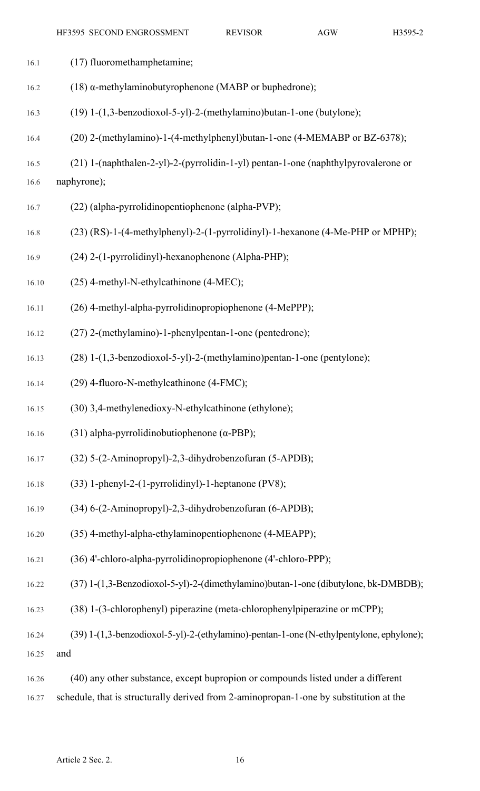| 16.1  | (17) fluoromethamphetamine;                                                             |
|-------|-----------------------------------------------------------------------------------------|
| 16.2  | (18) $\alpha$ -methylaminobutyrophenone (MABP or buphedrone);                           |
| 16.3  | (19) 1-(1,3-benzodioxol-5-yl)-2-(methylamino)butan-1-one (butylone);                    |
| 16.4  | (20) 2-(methylamino)-1-(4-methylphenyl)butan-1-one (4-MEMABP or BZ-6378);               |
| 16.5  | (21) 1-(naphthalen-2-yl)-2-(pyrrolidin-1-yl) pentan-1-one (naphthylpyrovalerone or      |
| 16.6  | naphyrone);                                                                             |
| 16.7  | (22) (alpha-pyrrolidinopentiophenone (alpha-PVP);                                       |
| 16.8  | (23) (RS)-1-(4-methylphenyl)-2-(1-pyrrolidinyl)-1-hexanone (4-Me-PHP or MPHP);          |
| 16.9  | (24) 2-(1-pyrrolidinyl)-hexanophenone (Alpha-PHP);                                      |
| 16.10 | (25) 4-methyl-N-ethylcathinone (4-MEC);                                                 |
| 16.11 | (26) 4-methyl-alpha-pyrrolidinopropiophenone (4-MePPP);                                 |
| 16.12 | (27) 2-(methylamino)-1-phenylpentan-1-one (pentedrone);                                 |
| 16.13 | (28) 1-(1,3-benzodioxol-5-yl)-2-(methylamino)pentan-1-one (pentylone);                  |
| 16.14 | (29) 4-fluoro-N-methylcathinone (4-FMC);                                                |
| 16.15 | (30) 3,4-methylenedioxy-N-ethylcathinone (ethylone);                                    |
| 16.16 | (31) alpha-pyrrolidinobutiophenone ( $\alpha$ -PBP);                                    |
| 16.17 | (32) 5-(2-Aminopropyl)-2,3-dihydrobenzofuran (5-APDB);                                  |
| 16.18 | (33) 1-phenyl-2-(1-pyrrolidinyl)-1-heptanone (PV8);                                     |
| 16.19 | (34) 6-(2-Aminopropyl)-2,3-dihydrobenzofuran (6-APDB);                                  |
| 16.20 | (35) 4-methyl-alpha-ethylaminopentiophenone (4-MEAPP);                                  |
| 16.21 | (36) 4'-chloro-alpha-pyrrolidinopropiophenone (4'-chloro-PPP);                          |
| 16.22 | (37) 1-(1,3-Benzodioxol-5-yl)-2-(dimethylamino)butan-1-one (dibutylone, bk-DMBDB);      |
| 16.23 | (38) 1-(3-chlorophenyl) piperazine (meta-chlorophenylpiperazine or mCPP);               |
| 16.24 | (39) 1-(1,3-benzodioxol-5-yl)-2-(ethylamino)-pentan-1-one (N-ethylpentylone, ephylone); |
| 16.25 | and                                                                                     |
| 16.26 | (40) any other substance, except bupropion or compounds listed under a different        |

16.27 schedule, that is structurally derived from 2-aminopropan-1-one by substitution at the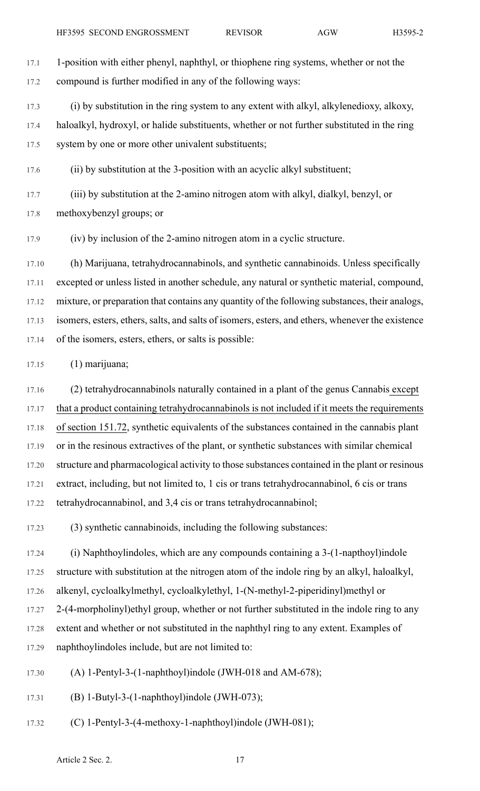17.1 1-position with either phenyl, naphthyl, or thiophene ring systems, whether or not the 17.2 compound is further modified in any of the following ways:

17.3 (i) by substitution in the ring system to any extent with alkyl, alkylenedioxy, alkoxy, 17.4 haloalkyl, hydroxyl, or halide substituents, whether or not further substituted in the ring 17.5 system by one or more other univalent substituents;

17.6 (ii) by substitution at the 3-position with an acyclic alkyl substituent;

17.7 (iii) by substitution at the 2-amino nitrogen atom with alkyl, dialkyl, benzyl, or 17.8 methoxybenzyl groups; or

17.9 (iv) by inclusion of the 2-amino nitrogen atom in a cyclic structure.

17.10 (h) Marijuana, tetrahydrocannabinols, and synthetic cannabinoids. Unless specifically 17.11 excepted or unless listed in another schedule, any natural or synthetic material, compound, 17.12 mixture, or preparation that contains any quantity of the following substances, their analogs, 17.13 isomers, esters, ethers, salts, and salts of isomers, esters, and ethers, whenever the existence 17.14 of the isomers, esters, ethers, or salts is possible:

17.15 (1) marijuana;

17.16 (2) tetrahydrocannabinols naturally contained in a plant of the genus Cannabis except 17.17 that a product containing tetrahydrocannabinols is not included if it meets the requirements 17.18 of section 151.72, synthetic equivalents of the substances contained in the cannabis plant 17.19 or in the resinous extractives of the plant, or synthetic substances with similar chemical 17.20 structure and pharmacological activity to those substances contained in the plant or resinous 17.21 extract, including, but not limited to, 1 cis or trans tetrahydrocannabinol, 6 cis or trans 17.22 tetrahydrocannabinol, and 3,4 cis or trans tetrahydrocannabinol;

17.23 (3) synthetic cannabinoids, including the following substances:

17.24 (i) Naphthoylindoles, which are any compounds containing a 3-(1-napthoyl)indole 17.25 structure with substitution at the nitrogen atom of the indole ring by an alkyl, haloalkyl, 17.26 alkenyl, cycloalkylmethyl, cycloalkylethyl, 1-(N-methyl-2-piperidinyl)methyl or 17.27 2-(4-morpholinyl)ethyl group, whether or not further substituted in the indole ring to any 17.28 extent and whether or not substituted in the naphthyl ring to any extent. Examples of 17.29 naphthoylindoles include, but are not limited to:

17.30 (A) 1-Pentyl-3-(1-naphthoyl)indole (JWH-018 and AM-678);

17.31 (B) 1-Butyl-3-(1-naphthoyl)indole (JWH-073);

17.32 (C) 1-Pentyl-3-(4-methoxy-1-naphthoyl)indole (JWH-081);

Article 2 Sec. 2. 17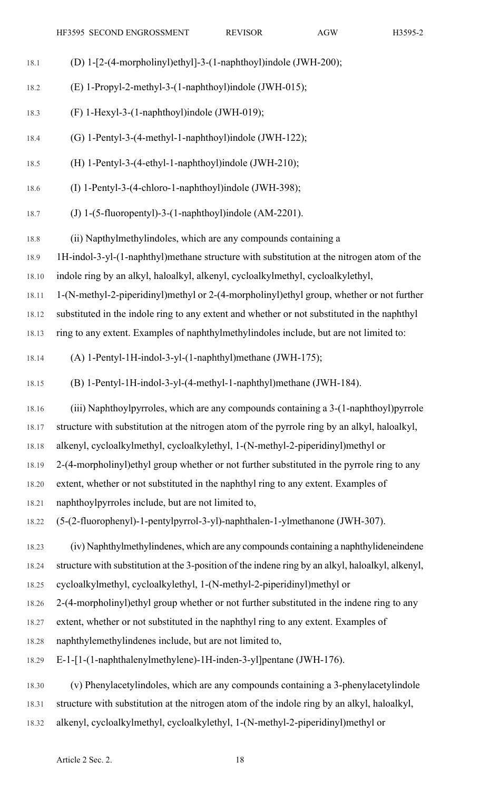| 18.1      | (D) 1-[2-(4-morpholinyl)ethyl]-3-(1-naphthoyl)indole (JWH-200);                                   |
|-----------|---------------------------------------------------------------------------------------------------|
| 18.2      | (E) 1-Propyl-2-methyl-3-(1-naphthoyl)indole (JWH-015);                                            |
| 18.3      | (F) 1-Hexyl-3-(1-naphthoyl)indole (JWH-019);                                                      |
| 18.4      | (G) 1-Pentyl-3-(4-methyl-1-naphthoyl)indole (JWH-122);                                            |
| 18.5      | (H) 1-Pentyl-3-(4-ethyl-1-naphthoyl)indole (JWH-210);                                             |
| 18.6      | (I) 1-Pentyl-3-(4-chloro-1-naphthoyl)indole (JWH-398);                                            |
| 18.7      | (J) 1- $(5$ -fluoropentyl)-3- $(1$ -naphthoyl)indole $(AM-2201)$ .                                |
| 18.8      | (ii) Napthylmethylindoles, which are any compounds containing a                                   |
| 18.9      | 1H-indol-3-yl-(1-naphthyl)methane structure with substitution at the nitrogen atom of the         |
| 18.10     | indole ring by an alkyl, haloalkyl, alkenyl, cycloalkylmethyl, cycloalkylethyl,                   |
| 18.11     | 1-(N-methyl-2-piperidinyl)methyl or 2-(4-morpholinyl)ethyl group, whether or not further          |
| 18.12     | substituted in the indole ring to any extent and whether or not substituted in the naphthyl       |
| 18.13     | ring to any extent. Examples of naphthylmethylindoles include, but are not limited to:            |
| 18.14     | (A) 1-Pentyl-1H-indol-3-yl-(1-naphthyl)methane (JWH-175);                                         |
| 18.15     | (B) 1-Pentyl-1H-indol-3-yl-(4-methyl-1-naphthyl)methane (JWH-184).                                |
| 18.16     | (iii) Naphthoylpyrroles, which are any compounds containing a 3-(1-naphthoyl)pyrrole              |
| 18.17     | structure with substitution at the nitrogen atom of the pyrrole ring by an alkyl, haloalkyl,      |
| $18.18\,$ | alkenyl, cycloalkylmethyl, cycloalkylethyl, 1-(N-methyl-2-piperidinyl)methyl or                   |
| 18.19     | 2-(4-morpholinyl) ethyl group whether or not further substituted in the pyrrole ring to any       |
| 18.20     | extent, whether or not substituted in the naphthyl ring to any extent. Examples of                |
| 18.21     | naphthoylpyrroles include, but are not limited to,                                                |
| 18.22     | (5-(2-fluorophenyl)-1-pentylpyrrol-3-yl)-naphthalen-1-ylmethanone (JWH-307).                      |
| 18.23     | (iv) Naphthylmethylindenes, which are any compounds containing a naphthylideneindene              |
| 18.24     | structure with substitution at the 3-position of the indene ring by an alkyl, haloalkyl, alkenyl, |
| 18.25     | cycloalkylmethyl, cycloalkylethyl, 1-(N-methyl-2-piperidinyl)methyl or                            |
| 18.26     | 2-(4-morpholinyl) ethyl group whether or not further substituted in the indene ring to any        |
| 18.27     | extent, whether or not substituted in the naphthyl ring to any extent. Examples of                |
| 18.28     | naphthylemethylindenes include, but are not limited to,                                           |
| 18.29     | E-1-[1-(1-naphthalenylmethylene)-1H-inden-3-yl]pentane (JWH-176).                                 |
| 18.30     | (v) Phenylacetylindoles, which are any compounds containing a 3-phenylacetylindole                |
| 18.31     | structure with substitution at the nitrogen atom of the indole ring by an alkyl, haloalkyl,       |
|           |                                                                                                   |

18.32 alkenyl, cycloalkylmethyl, cycloalkylethyl, 1-(N-methyl-2-piperidinyl)methyl or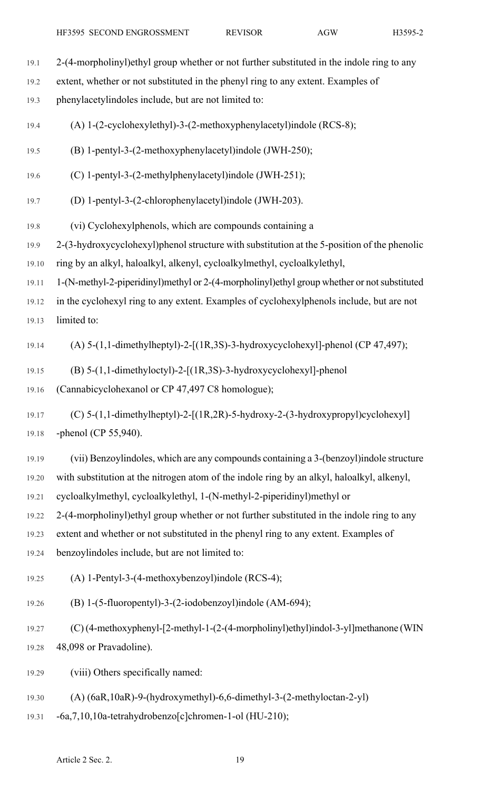| 19.1  | 2-(4-morpholinyl) ethyl group whether or not further substituted in the indole ring to any   |
|-------|----------------------------------------------------------------------------------------------|
| 19.2  | extent, whether or not substituted in the phenyl ring to any extent. Examples of             |
| 19.3  | phenylacetylindoles include, but are not limited to:                                         |
| 19.4  | (A) 1-(2-cyclohexylethyl)-3-(2-methoxyphenylacetyl)indole (RCS-8);                           |
| 19.5  | (B) 1-pentyl-3-(2-methoxyphenylacetyl)indole (JWH-250);                                      |
| 19.6  | (C) 1-pentyl-3-(2-methylphenylacetyl)indole (JWH-251);                                       |
| 19.7  | (D) 1-pentyl-3-(2-chlorophenylacetyl)indole (JWH-203).                                       |
| 19.8  | (vi) Cyclohexylphenols, which are compounds containing a                                     |
| 19.9  | 2-(3-hydroxycyclohexyl) phenol structure with substitution at the 5-position of the phenolic |
| 19.10 | ring by an alkyl, haloalkyl, alkenyl, cycloalkylmethyl, cycloalkylethyl,                     |
| 19.11 | 1-(N-methyl-2-piperidinyl)methyl or 2-(4-morpholinyl)ethyl group whether or not substituted  |
| 19.12 | in the cyclohexyl ring to any extent. Examples of cyclohexylphenols include, but are not     |
| 19.13 | limited to:                                                                                  |
| 19.14 | (A) $5-(1,1$ -dimethylheptyl)-2-[(1R,3S)-3-hydroxycyclohexyl]-phenol (CP 47,497);            |
| 19.15 | $(B)$ 5-(1,1-dimethyloctyl)-2-[(1R,3S)-3-hydroxycyclohexyl]-phenol                           |
| 19.16 | (Cannabicyclohexanol or CP 47,497 C8 homologue);                                             |
| 19.17 | (C) $5-(1,1$ -dimethylheptyl)-2-[(1R,2R)-5-hydroxy-2-(3-hydroxypropyl)cyclohexyl]            |
| 19.18 | -phenol (CP $55,940$ ).                                                                      |
| 19.19 | (vii) Benzoylindoles, which are any compounds containing a 3-(benzoyl)indole structure       |
| 19.20 | with substitution at the nitrogen atom of the indole ring by an alkyl, haloalkyl, alkenyl,   |
| 19.21 | cycloalkylmethyl, cycloalkylethyl, 1-(N-methyl-2-piperidinyl)methyl or                       |
| 19.22 | 2-(4-morpholinyl) ethyl group whether or not further substituted in the indole ring to any   |
| 19.23 | extent and whether or not substituted in the phenyl ring to any extent. Examples of          |
| 19.24 | benzoylindoles include, but are not limited to:                                              |
| 19.25 | (A) 1-Pentyl-3-(4-methoxybenzoyl)indole (RCS-4);                                             |
| 19.26 | (B) 1-(5-fluoropentyl)-3-(2-iodobenzoyl)indole (AM-694);                                     |
| 19.27 | (C) (4-methoxyphenyl-[2-methyl-1-(2-(4-morpholinyl)ethyl)indol-3-yl]methanone (WIN           |
| 19.28 | 48,098 or Pravadoline).                                                                      |
| 19.29 | (viii) Others specifically named:                                                            |
| 19.30 | $(A)$ (6aR, 10aR)-9-(hydroxymethyl)-6,6-dimethyl-3-(2-methyloctan-2-yl)                      |
| 19.31 | -6a,7,10,10a-tetrahydrobenzo[c]chromen-1-ol (HU-210);                                        |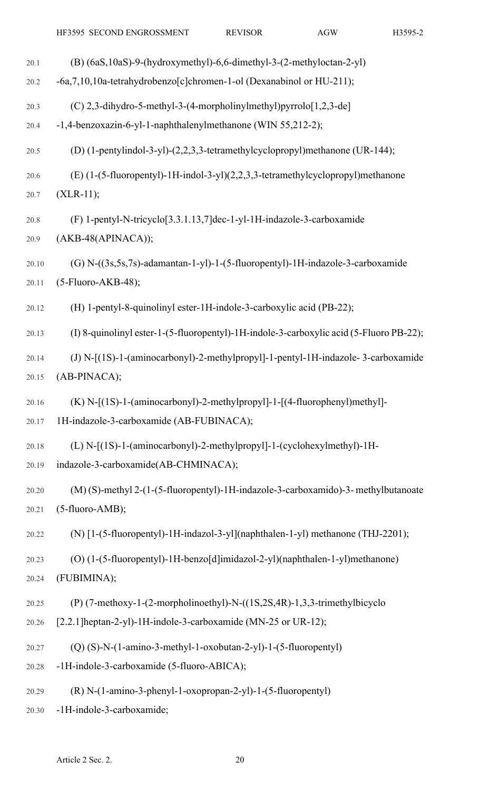| 20.1  | (B) (6aS, 10aS)-9-(hydroxymethyl)-6, 6-dimethyl-3-(2-methyloctan-2-yl)                  |
|-------|-----------------------------------------------------------------------------------------|
| 20.2  | -6a,7,10,10a-tetrahydrobenzo[c]chromen-1-ol (Dexanabinol or HU-211);                    |
| 20.3  | (C) 2,3-dihydro-5-methyl-3-(4-morpholinylmethyl)pyrrolo $[1,2,3$ -de]                   |
| 20.4  | -1,4-benzoxazin-6-yl-1-naphthalenylmethanone (WIN 55,212-2);                            |
| 20.5  | (D) (1-pentylindol-3-yl)-(2,2,3,3-tetramethylcyclopropyl)methanone (UR-144);            |
| 20.6  | (E) (1-(5-fluoropentyl)-1H-indol-3-yl)(2,2,3,3-tetramethylcyclopropyl)methanone         |
| 20.7  | $(XLR-11);$                                                                             |
| 20.8  | (F) 1-pentyl-N-tricyclo[3.3.1.13,7]dec-1-yl-1H-indazole-3-carboxamide                   |
| 20.9  | (AKB-48(APINACA));                                                                      |
| 20.10 | (G) N-((3s,5s,7s)-adamantan-1-yl)-1-(5-fluoropentyl)-1H-indazole-3-carboxamide          |
| 20.11 | (5-Fluoro-AKB-48);                                                                      |
| 20.12 | (H) 1-pentyl-8-quinolinyl ester-1H-indole-3-carboxylic acid (PB-22);                    |
| 20.13 | (I) 8-quinolinyl ester-1-(5-fluoropentyl)-1H-indole-3-carboxylic acid (5-Fluoro PB-22); |
| 20.14 | (J) N-[(1S)-1-(aminocarbonyl)-2-methylpropyl]-1-pentyl-1H-indazole-3-carboxamide        |
| 20.15 | (AB-PINACA);                                                                            |
| 20.16 | (K) N-[(1S)-1-(aminocarbonyl)-2-methylpropyl]-1-[(4-fluorophenyl)methyl]-               |
| 20.17 | 1H-indazole-3-carboxamide (AB-FUBINACA);                                                |
| 20.18 | (L) N-[(1S)-1-(aminocarbonyl)-2-methylpropyl]-1-(cyclohexylmethyl)-1H-                  |
| 20.19 | indazole-3-carboxamide(AB-CHMINACA);                                                    |
| 20.20 | (M) (S)-methyl 2-(1-(5-fluoropentyl)-1H-indazole-3-carboxamido)-3- methylbutanoate      |
| 20.21 | (5-fluoro-AMB);                                                                         |
| 20.22 | (N) [1-(5-fluoropentyl)-1H-indazol-3-yl](naphthalen-1-yl) methanone (THJ-2201);         |
| 20.23 | (O) (1-(5-fluoropentyl)-1H-benzo[d]imidazol-2-yl)(naphthalen-1-yl)methanone)            |
| 20.24 | (FUBIMINA);                                                                             |
| 20.25 | (P) (7-methoxy-1-(2-morpholinoethyl)-N-((1S,2S,4R)-1,3,3-trimethylbicyclo               |
| 20.26 | [2.2.1] heptan-2-yl)-1H-indole-3-carboxamide (MN-25 or UR-12);                          |
| 20.27 | (Q) (S)-N-(1-amino-3-methyl-1-oxobutan-2-yl)-1-(5-fluoropentyl)                         |
| 20.28 | -1H-indole-3-carboxamide (5-fluoro-ABICA);                                              |
| 20.29 | (R) N-(1-amino-3-phenyl-1-oxopropan-2-yl)-1-(5-fluoropentyl)                            |
| 20.30 | -1H-indole-3-carboxamide;                                                               |
|       |                                                                                         |